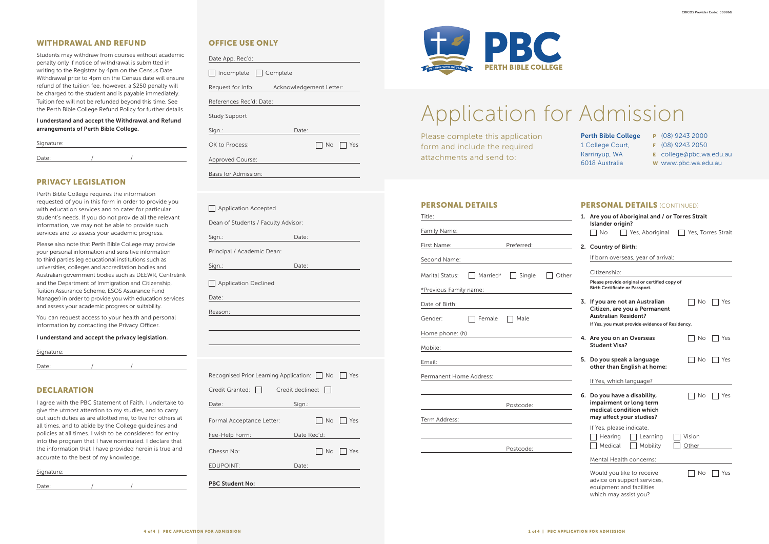#### PERSONAL DETAILS

| Title:                  |                                                             |                                                                            |       |
|-------------------------|-------------------------------------------------------------|----------------------------------------------------------------------------|-------|
| Family Name:            |                                                             |                                                                            |       |
| First Name:             | the company of the company of                               | Preferred:                                                                 |       |
| Second Name:            |                                                             |                                                                            |       |
| Marital Status:         | Married*                                                    | Single                                                                     | Other |
|                         |                                                             |                                                                            |       |
| Date of Birth:          |                                                             | the control of the control of the control of the control of the control of |       |
| Gender:                 | Female                                                      | Male                                                                       |       |
| Home phone: (h)         |                                                             | <u> 1980 - Jan Stein Stein, fransk politik (d. 1980)</u>                   |       |
| Mobile:                 |                                                             |                                                                            |       |
| Email:                  | the control of the control of the control of the control of |                                                                            |       |
| Permanent Home Address: |                                                             |                                                                            |       |
|                         |                                                             |                                                                            |       |
|                         |                                                             | Postcode:                                                                  |       |
| Term Address:           |                                                             |                                                                            |       |
|                         |                                                             |                                                                            |       |
|                         |                                                             | Postcode:                                                                  |       |
|                         |                                                             |                                                                            |       |

| 1. | Are you of Aboriginal and / or Torres Strait<br>Islander origin?                                              |                 |                    |
|----|---------------------------------------------------------------------------------------------------------------|-----------------|--------------------|
|    | <b>No</b><br>Yes, Aboriginal                                                                                  |                 | Yes, Torres Strait |
| 2. | <b>Country of Birth:</b>                                                                                      |                 |                    |
|    | If born overseas, year of arrival:                                                                            |                 |                    |
|    | Citizenship:                                                                                                  |                 |                    |
|    | Please provide original or certified copy of<br>Birth Certificate or Passport.                                |                 |                    |
| 3. | If you are not an Australian<br>Citizen, are you a Permanent<br><b>Australian Resident?</b>                   | No              | Yes                |
|    | If Yes, you must provide evidence of Residency.                                                               |                 |                    |
| 4. | Are you on an Overseas<br><b>Student Visa?</b>                                                                | No.             | Yes                |
| 5. | Do you speak a language<br>other than English at home:                                                        | Νo              | Yes                |
|    | If Yes, which language?                                                                                       |                 |                    |
| 6. | Do you have a disability,<br>impairment or long term<br>medical condition which<br>may affect your studies?   | No              | Yes                |
|    | If Yes, please indicate.<br>Learning<br>Hearing<br>Mobility<br>Medical                                        | Vision<br>Other |                    |
|    | Mental Health concerns:                                                                                       |                 |                    |
|    | Would you like to receive<br>advice on support services,<br>equipment and facilities<br>which may assist you? | Νo              | Yes                |

| Signature: |  |  |
|------------|--|--|
|            |  |  |
| Date:      |  |  |

# Application for Admission

Please complete this application form and include the required attachments and send to:

Perth Bible College 1 College Court, Karrinyup, WA 6018 Australia

- P (08) 9243 2000
- F (08) 9243 2050
- E college@pbc.wa.edu.au
- W www.pbc.wa.edu.au

### PERSONAL DETAILS (CONTINUED)

## WITHDRAWAL AND REFUND

| Signature: |  |  |
|------------|--|--|
| Date:      |  |  |

Students may withdraw from courses without academic penalty only if notice of withdrawal is submitted in writing to the Registrar by 4pm on the Census Date. Withdrawal prior to 4pm on the Census date will ensure refund of the tuition fee, however, a \$250 penalty will be charged to the student and is payable immediately. Tuition fee will not be refunded beyond this time. See the Perth Bible College Refund Policy for further details.

| Signature: |  |  |
|------------|--|--|
| Date:      |  |  |

### I understand and accept the Withdrawal and Refund arrangements of Perth Bible College.

# PRIVACY LEGISLATION

Perth Bible College requires the information requested of you in this form in order to provide you with education services and to cater for particular student's needs. If you do not provide all the relevant information, we may not be able to provide such services and to assess your academic progress.

Please also note that Perth Bible College may provide your personal information and sensitive information to third parties (eg educational institutions such as universities, colleges and accreditation bodies and Australian government bodies such as DEEWR, Centrelink and the Department of Immigration and Citizenship, Tuition Assurance Scheme, ESOS Assurance Fund Manager) in order to provide you with education services and assess your academic progress or suitability.

You can request access to your health and personal information by contacting the Privacy Officer.

#### I understand and accept the privacy legislation.

## DECLARATION

I agree with the PBC Statement of Faith. I undertake to give the utmost attention to my studies, and to carry out such duties as are allotted me, to live for others at all times, and to abide by the College guidelines and policies at all times. I wish to be considered for entry into the program that I have nominated. I declare that the information that I have provided herein is true and accurate to the best of my knowledge.

# OFFICE USE ONLY

□ Incomplete □ Complete

Date App. Rec'd:

Request for Info: Acknowledgement Letter:

References Rec'd: Date:

Study Support

Sign.: **Date:** 

OK to Process: No Yes

Approved Course:

Basis for Admission:

| <b>Application Accepted</b>                                                                                     |             |                                                                                                                                                                                                                                |         |
|-----------------------------------------------------------------------------------------------------------------|-------------|--------------------------------------------------------------------------------------------------------------------------------------------------------------------------------------------------------------------------------|---------|
| Dean of Students / Faculty Advisor:                                                                             |             |                                                                                                                                                                                                                                |         |
| Sign.:                                                                                                          | Date:       |                                                                                                                                                                                                                                |         |
| Principal / Academic Dean:                                                                                      |             |                                                                                                                                                                                                                                |         |
|                                                                                                                 | Date:       |                                                                                                                                                                                                                                |         |
| Application Declined                                                                                            |             |                                                                                                                                                                                                                                |         |
|                                                                                                                 |             |                                                                                                                                                                                                                                |         |
| Reason:                                                                                                         |             |                                                                                                                                                                                                                                |         |
|                                                                                                                 |             |                                                                                                                                                                                                                                |         |
|                                                                                                                 |             |                                                                                                                                                                                                                                |         |
|                                                                                                                 |             |                                                                                                                                                                                                                                |         |
| Recognised Prior Learning Application: No                                                                       |             |                                                                                                                                                                                                                                | Yes     |
| Credit Granted:<br>  Credit declined:                                                                           |             | $\mathbf{I}$                                                                                                                                                                                                                   |         |
| Date:                                                                                                           |             | Sign.: Album and the second service of the series of the series of the series of the series of the series of the series of the series of the series of the series of the series of the series of the series of the series of t |         |
| Formal Acceptance Letter:                                                                                       |             | No                                                                                                                                                                                                                             | $ $ Yes |
| Fee-Help Form: The control of the state of the state of the state of the state of the state of the state of the | Date Rec'd: |                                                                                                                                                                                                                                |         |
| Chessn No:                                                                                                      |             | <b>No</b>                                                                                                                                                                                                                      | Yes     |
| <b>EDUPOINT:</b>                                                                                                | Date:       |                                                                                                                                                                                                                                |         |
| <b>PBC Student No:</b>                                                                                          |             |                                                                                                                                                                                                                                |         |